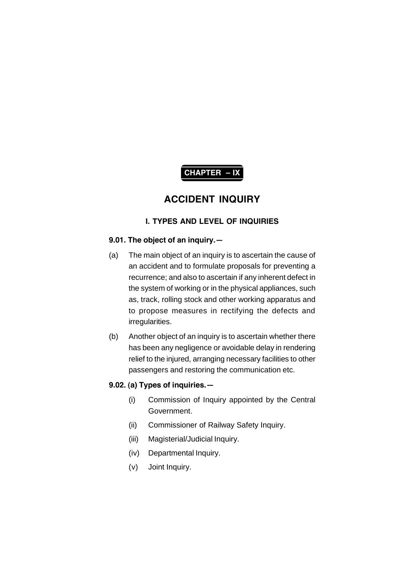# **CHAPTER – IX**

# **ACCIDENT INQUIRY**

# **I. TYPES AND LEVEL OF INQUIRIES**

# **9.01. The object of an inquiry.—**

- (a) The main object of an inquiry is to ascertain the cause of an accident and to formulate proposals for preventing a recurrence; and also to ascertain if any inherent defect in the system of working or in the physical appliances, such as, track, rolling stock and other working apparatus and to propose measures in rectifying the defects and irregularities.
- (b) Another object of an inquiry is to ascertain whether there has been any negligence or avoidable delay in rendering relief to the injured, arranging necessary facilities to other passengers and restoring the communication etc.

# **9.02. (a) Types of inquiries.—**

- (i) Commission of Inquiry appointed by the Central Government.
- (ii) Commissioner of Railway Safety Inquiry.
- (iii) Magisterial/Judicial Inquiry.
- (iv) Departmental Inquiry.
- (v) Joint Inquiry.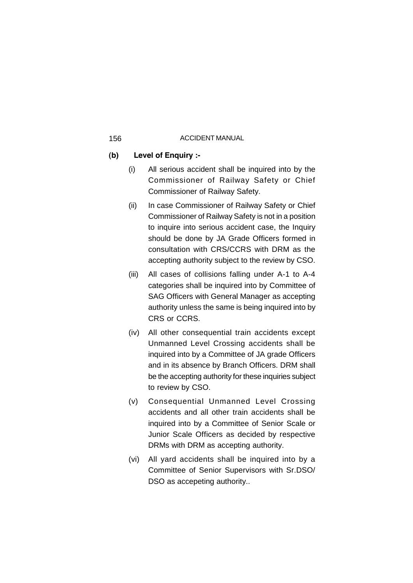# **(b) Level of Enquiry :-**

- (i) All serious accident shall be inquired into by the Commissioner of Railway Safety or Chief Commissioner of Railway Safety.
- (ii) In case Commissioner of Railway Safety or Chief Commissioner of Railway Safety is not in a position to inquire into serious accident case, the Inquiry should be done by JA Grade Officers formed in consultation with CRS/CCRS with DRM as the accepting authority subject to the review by CSO.
- (iii) All cases of collisions falling under A-1 to A-4 categories shall be inquired into by Committee of SAG Officers with General Manager as accepting authority unless the same is being inquired into by CRS or CCRS.
- (iv) All other consequential train accidents except Unmanned Level Crossing accidents shall be inquired into by a Committee of JA grade Officers and in its absence by Branch Officers. DRM shall be the accepting authority for these inquiries subject to review by CSO.
- (v) Consequential Unmanned Level Crossing accidents and all other train accidents shall be inquired into by a Committee of Senior Scale or Junior Scale Officers as decided by respective DRMs with DRM as accepting authority.
- (vi) All yard accidents shall be inquired into by a Committee of Senior Supervisors with Sr.DSO/ DSO as accepeting authority...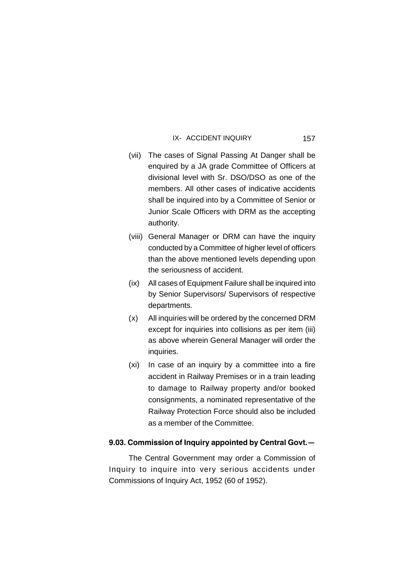- (vii) The cases of Signal Passing At Danger shall be enquired by a JA grade Committee of Officers at divisional level with Sr. DSO/DSO as one of the members. All other cases of indicative accidents shall be inquired into by a Committee of Senior or Junior Scale Officers with DRM as the accepting authority.
- (viii) General Manager or DRM can have the inquiry conducted by a Committee of higher level of officers than the above mentioned levels depending upon the seriousness of accident.
- (ix) All cases of Equipment Failure shall be inquired into by Senior Supervisors/ Supervisors of respective departments.
- (x) All inquiries will be ordered by the concerned DRM except for inquiries into collisions as per item (iii) as above wherein General Manager will order the inquiries.
- (xi) In case of an inquiry by a committee into a fire accident in Railway Premises or in a train leading to damage to Railway property and/or booked consignments, a nominated representative of the Railway Protection Force should also be included as a member of the Committee.

# **9.03. Commission of Inquiry appointed by Central Govt.—**

The Central Government may order a Commission of Inquiry to inquire into very serious accidents under Commissions of Inquiry Act, 1952 (60 of 1952).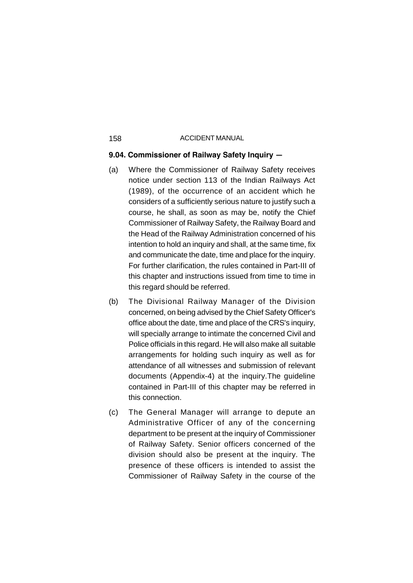# **9.04. Commissioner of Railway Safety Inquiry —**

- (a) Where the Commissioner of Railway Safety receives notice under section 113 of the Indian Railways Act (1989), of the occurrence of an accident which he considers of a sufficiently serious nature to justify such a course, he shall, as soon as may be, notify the Chief Commissioner of Railway Safety, the Railway Board and the Head of the Railway Administration concerned of his intention to hold an inquiry and shall, at the same time, fix and communicate the date, time and place for the inquiry. For further clarification, the rules contained in Part-III of this chapter and instructions issued from time to time in this regard should be referred.
- (b) The Divisional Railway Manager of the Division concerned, on being advised by the Chief Safety Officer's office about the date, time and place of the CRS's inquiry, will specially arrange to intimate the concerned Civil and Police officials in this regard. He will also make all suitable arrangements for holding such inquiry as well as for attendance of all witnesses and submission of relevant documents (Appendix-4) at the inquiry.The guideline contained in Part-III of this chapter may be referred in this connection.
- (c) The General Manager will arrange to depute an Administrative Officer of any of the concerning department to be present at the inquiry of Commissioner of Railway Safety. Senior officers concerned of the division should also be present at the inquiry. The presence of these officers is intended to assist the Commissioner of Railway Safety in the course of the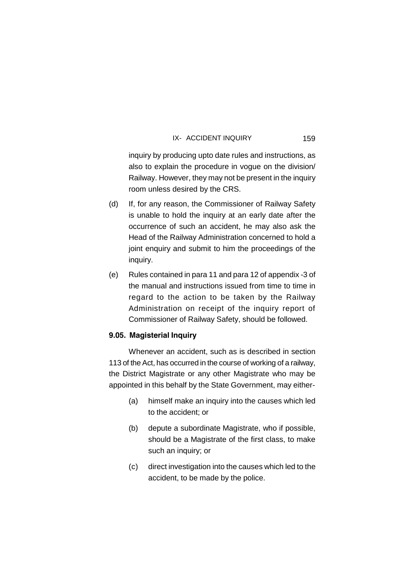inquiry by producing upto date rules and instructions, as also to explain the procedure in vogue on the division/ Railway. However, they may not be present in the inquiry room unless desired by the CRS.

- (d) If, for any reason, the Commissioner of Railway Safety is unable to hold the inquiry at an early date after the occurrence of such an accident, he may also ask the Head of the Railway Administration concerned to hold a joint enquiry and submit to him the proceedings of the inquiry.
- (e) Rules contained in para 11 and para 12 of appendix -3 of the manual and instructions issued from time to time in regard to the action to be taken by the Railway Administration on receipt of the inquiry report of Commissioner of Railway Safety, should be followed.

### **9.05. Magisterial Inquiry**

Whenever an accident, such as is described in section 113 of the Act, has occurred in the course of working of a railway, the District Magistrate or any other Magistrate who may be appointed in this behalf by the State Government, may either-

- (a) himself make an inquiry into the causes which led to the accident; or
- (b) depute a subordinate Magistrate, who if possible, should be a Magistrate of the first class, to make such an inquiry; or
- (c) direct investigation into the causes which led to the accident, to be made by the police.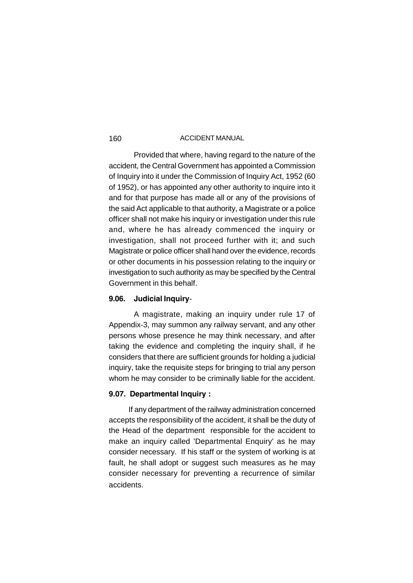Provided that where, having regard to the nature of the accident, the Central Government has appointed a Commission of Inquiry into it under the Commission of Inquiry Act, 1952 (60 of 1952), or has appointed any other authority to inquire into it and for that purpose has made all or any of the provisions of the said Act applicable to that authority, a Magistrate or a police officer shall not make his inquiry or investigation under this rule and, where he has already commenced the inquiry or investigation, shall not proceed further with it; and such Magistrate or police officer shall hand over the evidence, records or other documents in his possession relating to the inquiry or investigation to such authority as may be specified by the Central Government in this behalf.

# **9.06. Judicial Inquiry**-

A magistrate, making an inquiry under rule 17 of Appendix-3, may summon any railway servant, and any other persons whose presence he may think necessary, and after taking the evidence and completing the inquiry shall, if he considers that there are sufficient grounds for holding a judicial inquiry, take the requisite steps for bringing to trial any person whom he may consider to be criminally liable for the accident.

### **9.07. Departmental Inquiry :**

If any department of the railway administration concerned accepts the responsibility of the accident, it shall be the duty of the Head of the department responsible for the accident to make an inquiry called 'Departmental Enquiry' as he may consider necessary. If his staff or the system of working is at fault, he shall adopt or suggest such measures as he may consider necessary for preventing a recurrence of similar accidents.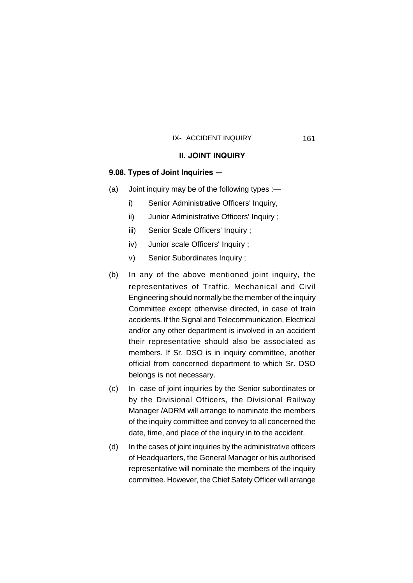### **II. JOINT INQUIRY**

# **9.08. Types of Joint Inquiries —**

- (a) Joint inquiry may be of the following types :
	- i) Senior Administrative Officers' Inquiry,
	- ii) Junior Administrative Officers' Inquiry ;
	- iii) Senior Scale Officers' Inquiry ;
	- iv) Junior scale Officers' Inquiry ;
	- v) Senior Subordinates Inquiry ;
- (b) In any of the above mentioned joint inquiry, the representatives of Traffic, Mechanical and Civil Engineering should normally be the member of the inquiry Committee except otherwise directed, in case of train accidents. If the Signal and Telecommunication, Electrical and/or any other department is involved in an accident their representative should also be associated as members. If Sr. DSO is in inquiry committee, another official from concerned department to which Sr. DSO belongs is not necessary.
- (c) In case of joint inquiries by the Senior subordinates or by the Divisional Officers, the Divisional Railway Manager /ADRM will arrange to nominate the members of the inquiry committee and convey to all concerned the date, time, and place of the inquiry in to the accident.
- (d) In the cases of joint inquiries by the administrative officers of Headquarters, the General Manager or his authorised representative will nominate the members of the inquiry committee. However, the Chief Safety Officer will arrange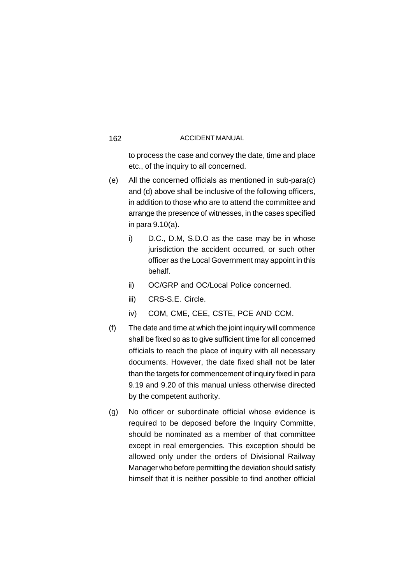to process the case and convey the date, time and place etc., of the inquiry to all concerned.

- (e) All the concerned officials as mentioned in sub-para(c) and (d) above shall be inclusive of the following officers, in addition to those who are to attend the committee and arrange the presence of witnesses, in the cases specified in para 9.10(a).
	- i) D.C., D.M, S.D.O as the case may be in whose jurisdiction the accident occurred, or such other officer as the Local Government may appoint in this behalf.
	- ii) OC/GRP and OC/Local Police concerned.
	- iii) CRS-S.E. Circle.
	- iv) COM, CME, CEE, CSTE, PCE AND CCM.
- (f) The date and time at which the joint inquiry will commence shall be fixed so as to give sufficient time for all concerned officials to reach the place of inquiry with all necessary documents. However, the date fixed shall not be later than the targets for commencement of inquiry fixed in para 9.19 and 9.20 of this manual unless otherwise directed by the competent authority.
- (g) No officer or subordinate official whose evidence is required to be deposed before the Inquiry Committe, should be nominated as a member of that committee except in real emergencies. This exception should be allowed only under the orders of Divisional Railway Manager who before permitting the deviation should satisfy himself that it is neither possible to find another official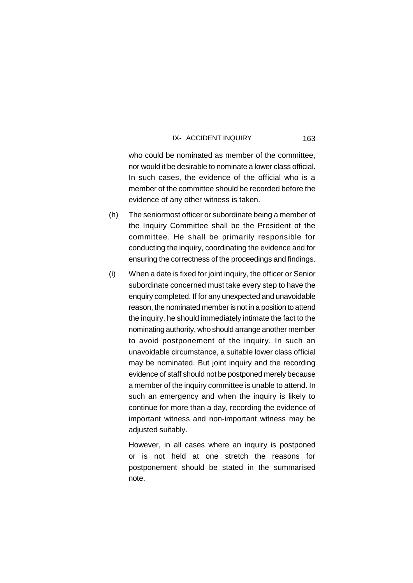who could be nominated as member of the committee. nor would it be desirable to nominate a lower class official. In such cases, the evidence of the official who is a member of the committee should be recorded before the evidence of any other witness is taken.

- (h) The seniormost officer or subordinate being a member of the Inquiry Committee shall be the President of the committee. He shall be primarily responsible for conducting the inquiry, coordinating the evidence and for ensuring the correctness of the proceedings and findings.
- (i) When a date is fixed for joint inquiry, the officer or Senior subordinate concerned must take every step to have the enquiry completed. If for any unexpected and unavoidable reason, the nominated member is not in a position to attend the inquiry, he should immediately intimate the fact to the nominating authority, who should arrange another member to avoid postponement of the inquiry. In such an unavoidable circumstance, a suitable lower class official may be nominated. But joint inquiry and the recording evidence of staff should not be postponed merely because a member of the inquiry committee is unable to attend. In such an emergency and when the inquiry is likely to continue for more than a day, recording the evidence of important witness and non-important witness may be adjusted suitably.

However, in all cases where an inquiry is postponed or is not held at one stretch the reasons for postponement should be stated in the summarised note.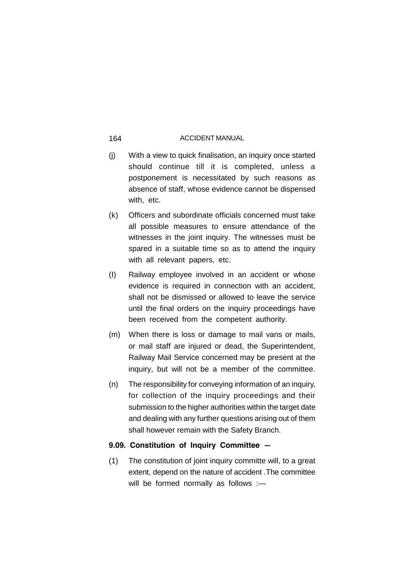- (j) With a view to quick finalisation, an inquiry once started should continue till it is completed, unless a postponement is necessitated by such reasons as absence of staff, whose evidence cannot be dispensed with, etc.
- (k) Officers and subordinate officials concerned must take all possible measures to ensure attendance of the witnesses in the joint inquiry. The witnesses must be spared in a suitable time so as to attend the inquiry with all relevant papers, etc.
- (I) Railway employee involved in an accident or whose evidence is required in connection with an accident, shall not be dismissed or allowed to leave the service until the final orders on the inquiry proceedings have been received from the competent authority.
- (m) When there is loss or damage to mail vans or mails, or mail staff are injured or dead, the Superintendent, Railway Mail Service concerned may be present at the inquiry, but will not be a member of the committee.
- (n) The responsibility for conveying information of an inquiry, for collection of the inquiry proceedings and their submission to the higher authorities within the target date and dealing with any further questions arising out of them shall however remain with the Safety Branch.

# **9.09. Constitution of Inquiry Committee —**

(1) The constitution of joint inquiry committe will, to a great extent, depend on the nature of accident .The committee will be formed normally as follows :-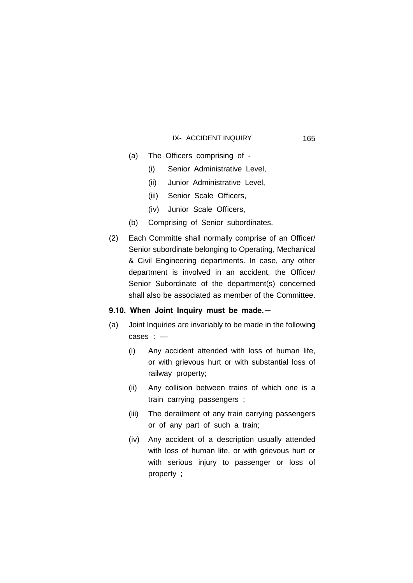- (a) The Officers comprising of
	- (i) Senior Administrative Level,
	- (ii) Junior Administrative Level,
	- (iii) Senior Scale Officers,
	- (iv) Junior Scale Officers,
- (b) Comprising of Senior subordinates.
- (2) Each Committe shall normally comprise of an Officer/ Senior subordinate belonging to Operating, Mechanical & Civil Engineering departments. In case, any other department is involved in an accident, the Officer/ Senior Subordinate of the department(s) concerned shall also be associated as member of the Committee.

# **9.10. When Joint Inquiry must be made.—**

- (a) Joint Inquiries are invariably to be made in the following cases : —
	- (i) Any accident attended with loss of human life, or with grievous hurt or with substantial loss of railway property;
	- (ii) Any collision between trains of which one is a train carrying passengers ;
	- (iii) The derailment of any train carrying passengers or of any part of such a train;
	- (iv) Any accident of a description usually attended with loss of human life, or with grievous hurt or with serious injury to passenger or loss of property ;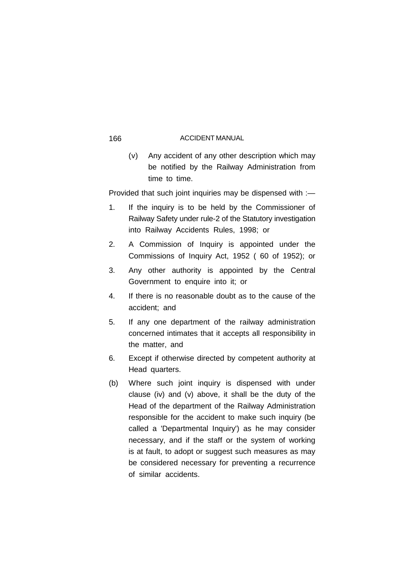(v) Any accident of any other description which may be notified by the Railway Administration from time to time.

Provided that such joint inquiries may be dispensed with :—

- 1. If the inquiry is to be held by the Commissioner of Railway Safety under rule-2 of the Statutory investigation into Railway Accidents Rules, 1998; or
- 2. A Commission of Inquiry is appointed under the Commissions of Inquiry Act, 1952 ( 60 of 1952); or
- 3. Any other authority is appointed by the Central Government to enquire into it; or
- 4. If there is no reasonable doubt as to the cause of the accident; and
- 5. If any one department of the railway administration concerned intimates that it accepts all responsibility in the matter, and
- 6. Except if otherwise directed by competent authority at Head quarters.
- (b) Where such joint inquiry is dispensed with under clause (iv) and (v) above, it shall be the duty of the Head of the department of the Railway Administration responsible for the accident to make such inquiry (be called a 'Departmental Inquiry') as he may consider necessary, and if the staff or the system of working is at fault, to adopt or suggest such measures as may be considered necessary for preventing a recurrence of similar accidents.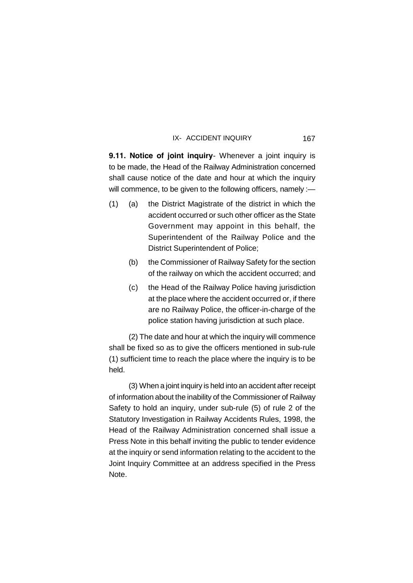**9.11. Notice of joint inquiry**- Whenever a joint inquiry is to be made, the Head of the Railway Administration concerned shall cause notice of the date and hour at which the inquiry will commence, to be given to the following officers, namely :-

- (1) (a) the District Magistrate of the district in which the accident occurred or such other officer as the State Government may appoint in this behalf, the Superintendent of the Railway Police and the District Superintendent of Police;
	- (b) the Commissioner of Railway Safety for the section of the railway on which the accident occurred; and
	- (c) the Head of the Railway Police having jurisdiction at the place where the accident occurred or, if there are no Railway Police, the officer-in-charge of the police station having jurisdiction at such place.

(2) The date and hour at which the inquiry will commence shall be fixed so as to give the officers mentioned in sub-rule (1) sufficient time to reach the place where the inquiry is to be held.

(3) When a joint inquiry is held into an accident after receipt of information about the inability of the Commissioner of Railway Safety to hold an inquiry, under sub-rule (5) of rule 2 of the Statutory Investigation in Railway Accidents Rules, 1998, the Head of the Railway Administration concerned shall issue a Press Note in this behalf inviting the public to tender evidence at the inquiry or send information relating to the accident to the Joint Inquiry Committee at an address specified in the Press Note.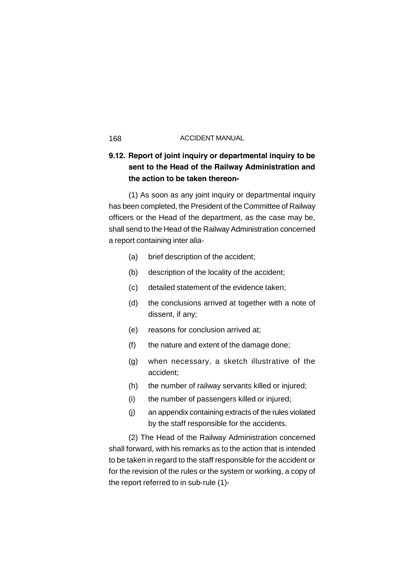# **9.12. Report of joint inquiry or departmental inquiry to be sent to the Head of the Railway Administration and the action to be taken thereon-**

(1) As soon as any joint inquiry or departmental inquiry has been completed, the President of the Committee of Railway officers or the Head of the department, as the case may be, shall send to the Head of the Railway Administration concerned a report containing inter alia-

- (a) brief description of the accident;
- (b) description of the locality of the accident;
- (c) detailed statement of the evidence taken;
- (d) the conclusions arrived at together with a note of dissent, if any;
- (e) reasons for conclusion arrived at;
- (f) the nature and extent of the damage done;
- (g) when necessary, a sketch illustrative of the accident;
- (h) the number of railway servants killed or injured;
- (i) the number of passengers killed or injured;
- (j) an appendix containing extracts of the rules violated by the staff responsible for the accidents.

(2) The Head of the Railway Administration concerned shall forward, with his remarks as to the action that is intended to be taken in regard to the staff responsible for the accident or for the revision of the rules or the system or working, a copy of the report referred to in sub-rule (1)-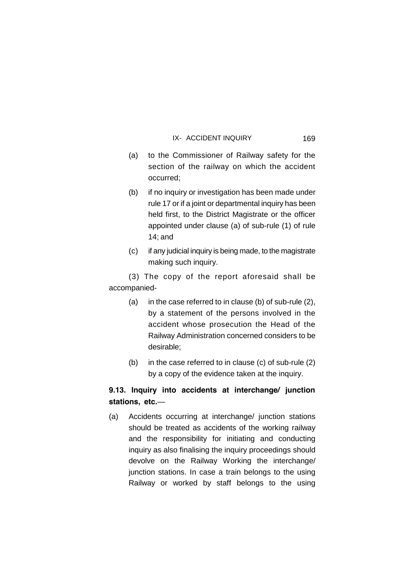(a) to the Commissioner of Railway safety for the section of the railway on which the accident occurred;

169

- (b) if no inquiry or investigation has been made under rule 17 or if a joint or departmental inquiry has been held first, to the District Magistrate or the officer appointed under clause (a) of sub-rule (1) of rule 14; and
- (c) if any judicial inquiry is being made, to the magistrate making such inquiry.

(3) The copy of the report aforesaid shall be accompanied-

- (a) in the case referred to in clause (b) of sub-rule (2), by a statement of the persons involved in the accident whose prosecution the Head of the Railway Administration concerned considers to be desirable;
- (b) in the case referred to in clause (c) of sub-rule (2) by a copy of the evidence taken at the inquiry.

# **9.13. Inquiry into accidents at interchange/ junction stations, etc.**—

(a) Accidents occurring at interchange/ junction stations should be treated as accidents of the working railway and the responsibility for initiating and conducting inquiry as also finalising the inquiry proceedings should devolve on the Railway Working the interchange/ junction stations. In case a train belongs to the using Railway or worked by staff belongs to the using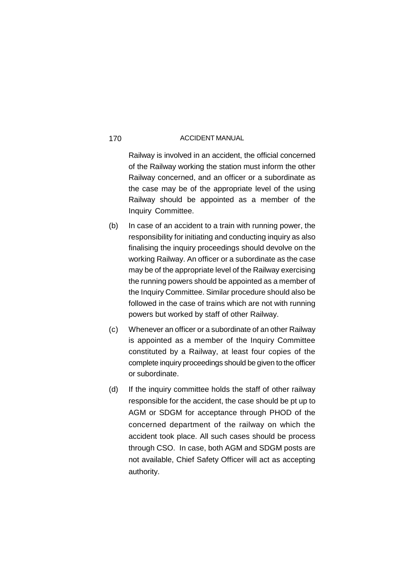Railway is involved in an accident, the official concerned of the Railway working the station must inform the other Railway concerned, and an officer or a subordinate as the case may be of the appropriate level of the using Railway should be appointed as a member of the Inquiry Committee.

- (b) In case of an accident to a train with running power, the responsibility for initiating and conducting inquiry as also finalising the inquiry proceedings should devolve on the working Railway. An officer or a subordinate as the case may be of the appropriate level of the Railway exercising the running powers should be appointed as a member of the Inquiry Committee. Similar procedure should also be followed in the case of trains which are not with running powers but worked by staff of other Railway.
- (c) Whenever an officer or a subordinate of an other Railway is appointed as a member of the Inquiry Committee constituted by a Railway, at least four copies of the complete inquiry proceedings should be given to the officer or subordinate.
- (d) If the inquiry committee holds the staff of other railway responsible for the accident, the case should be pt up to AGM or SDGM for acceptance through PHOD of the concerned department of the railway on which the accident took place. All such cases should be process through CSO. In case, both AGM and SDGM posts are not available, Chief Safety Officer will act as accepting authority.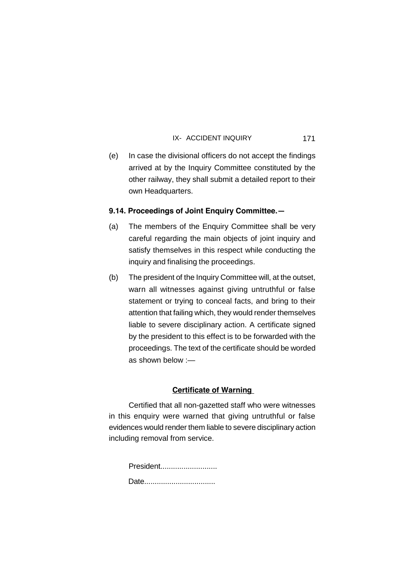171

(e) In case the divisional officers do not accept the findings arrived at by the Inquiry Committee constituted by the other railway, they shall submit a detailed report to their own Headquarters.

# **9.14. Proceedings of Joint Enquiry Committee.—**

- (a) The members of the Enquiry Committee shall be very careful regarding the main objects of joint inquiry and satisfy themselves in this respect while conducting the inquiry and finalising the proceedings.
- (b) The president of the Inquiry Committee will, at the outset, warn all witnesses against giving untruthful or false statement or trying to conceal facts, and bring to their attention that failing which, they would render themselves liable to severe disciplinary action. A certificate signed by the president to this effect is to be forwarded with the proceedings. The text of the certificate should be worded as shown below :—

# **Certificate of Warning**

Certified that all non-gazetted staff who were witnesses in this enquiry were warned that giving untruthful or false evidences would render them liable to severe disciplinary action including removal from service.

| President |  |
|-----------|--|
|           |  |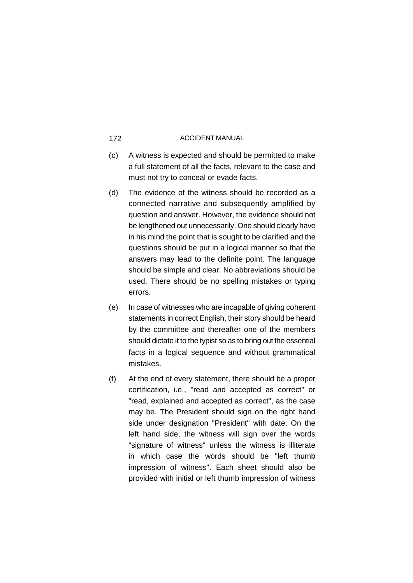- (c) A witness is expected and should be permitted to make a full statement of all the facts, relevant to the case and must not try to conceal or evade facts.
- (d) The evidence of the witness should be recorded as a connected narrative and subsequently amplified by question and answer. However, the evidence should not be lengthened out unnecessarily. One should clearly have in his mind the point that is sought to be clarified and the questions should be put in a logical manner so that the answers may lead to the definite point. The language should be simple and clear. No abbreviations should be used. There should be no spelling mistakes or typing errors.
- (e) In case of witnesses who are incapable of giving coherent statements in correct English, their story should be heard by the committee and thereafter one of the members should dictate it to the typist so as to bring out the essential facts in a logical sequence and without grammatical mistakes.
- (f) At the end of every statement, there should be a proper certification, i.e., "read and accepted as correct" or "read, explained and accepted as correct", as the case may be. The President should sign on the right hand side under designation "President" with date. On the left hand side, the witness will sign over the words "signature of witness" unless the witness is illiterate in which case the words should be "left thumb impression of witness". Each sheet should also be provided with initial or left thumb impression of witness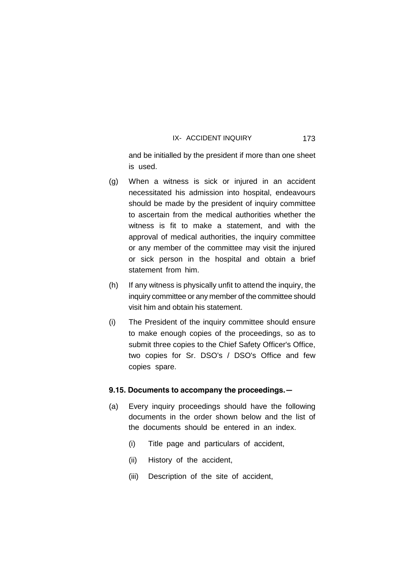and be initialled by the president if more than one sheet is used.

- (g) When a witness is sick or injured in an accident necessitated his admission into hospital, endeavours should be made by the president of inquiry committee to ascertain from the medical authorities whether the witness is fit to make a statement, and with the approval of medical authorities, the inquiry committee or any member of the committee may visit the injured or sick person in the hospital and obtain a brief statement from him.
- (h) If any witness is physically unfit to attend the inquiry, the inquiry committee or any member of the committee should visit him and obtain his statement.
- (i) The President of the inquiry committee should ensure to make enough copies of the proceedings, so as to submit three copies to the Chief Safety Officer's Office, two copies for Sr. DSO's / DSO's Office and few copies spare.

### **9.15. Documents to accompany the proceedings.—**

- (a) Every inquiry proceedings should have the following documents in the order shown below and the list of the documents should be entered in an index.
	- (i) Title page and particulars of accident,
	- (ii) History of the accident,
	- (iii) Description of the site of accident,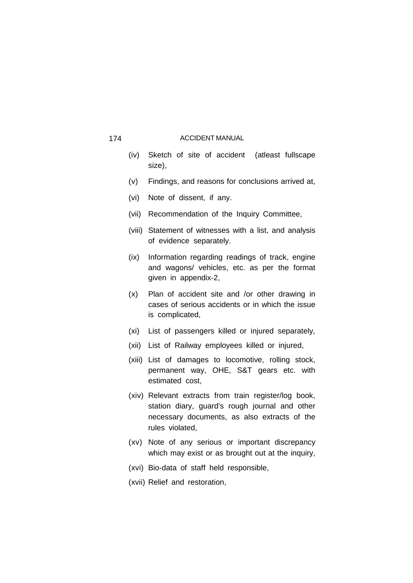- (iv) Sketch of site of accident (atleast fullscape size),
- (v) Findings, and reasons for conclusions arrived at,
- (vi) Note of dissent, if any.
- (vii) Recommendation of the Inquiry Committee,
- (viii) Statement of witnesses with a list, and analysis of evidence separately.
- (ix) Information regarding readings of track, engine and wagons/ vehicles, etc. as per the format given in appendix-2,
- (x) Plan of accident site and /or other drawing in cases of serious accidents or in which the issue is complicated,
- (xi) List of passengers killed or injured separately,
- (xii) List of Railway employees killed or injured,
- (xiii) List of damages to locomotive, rolling stock, permanent way, OHE, S&T gears etc. with estimated cost,
- (xiv) Relevant extracts from train register/log book, station diary, guard's rough journal and other necessary documents, as also extracts of the rules violated,
- (xv) Note of any serious or important discrepancy which may exist or as brought out at the inquiry,
- (xvi) Bio-data of staff held responsible,
- (xvii) Relief and restoration,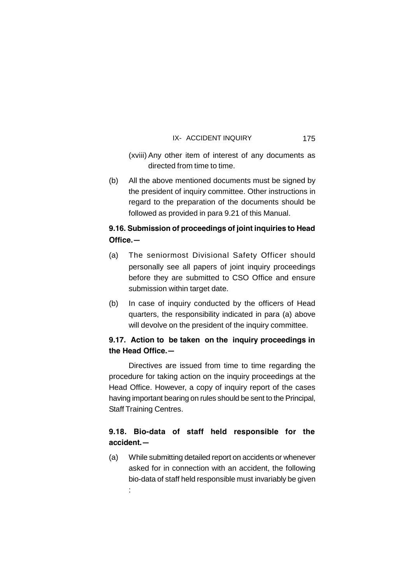(xviii) Any other item of interest of any documents as directed from time to time.

(b) All the above mentioned documents must be signed by the president of inquiry committee. Other instructions in regard to the preparation of the documents should be followed as provided in para 9.21 of this Manual.

# **9.16. Submission of proceedings of joint inquiries to Head Office.—**

- (a) The seniormost Divisional Safety Officer should personally see all papers of joint inquiry proceedings before they are submitted to CSO Office and ensure submission within target date.
- (b) In case of inquiry conducted by the officers of Head quarters, the responsibility indicated in para (a) above will devolve on the president of the inquiry committee.

# **9.17. Action to be taken on the inquiry proceedings in the Head Office.—**

Directives are issued from time to time regarding the procedure for taking action on the inquiry proceedings at the Head Office. However, a copy of inquiry report of the cases having important bearing on rules should be sent to the Principal, Staff Training Centres.

# **9.18. Bio-data of staff held responsible for the accident.—**

(a) While submitting detailed report on accidents or whenever asked for in connection with an accident, the following bio-data of staff held responsible must invariably be given

: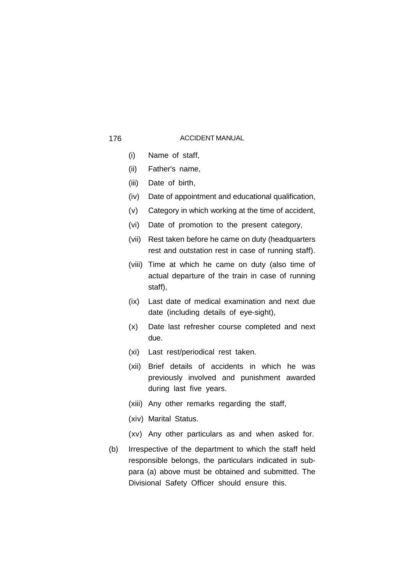- (i) Name of staff,
- (ii) Father's name,
- (iii) Date of birth,
- (iv) Date of appointment and educational qualification,
- (v) Category in which working at the time of accident,
- (vi) Date of promotion to the present category,
- (vii) Rest taken before he came on duty (headquarters rest and outstation rest in case of running staff).
- (viii) Time at which he came on duty (also time of actual departure of the train in case of running staff),
- (ix) Last date of medical examination and next due date (including details of eye-sight),
- (x) Date last refresher course completed and next due.
- (xi) Last rest/periodical rest taken.
- (xii) Brief details of accidents in which he was previously involved and punishment awarded during last five years.
- (xiii) Any other remarks regarding the staff,
- (xiv) Marital Status.
- (xv) Any other particulars as and when asked for.
- (b) Irrespective of the department to which the staff held responsible belongs, the particulars indicated in subpara (a) above must be obtained and submitted. The Divisional Safety Officer should ensure this.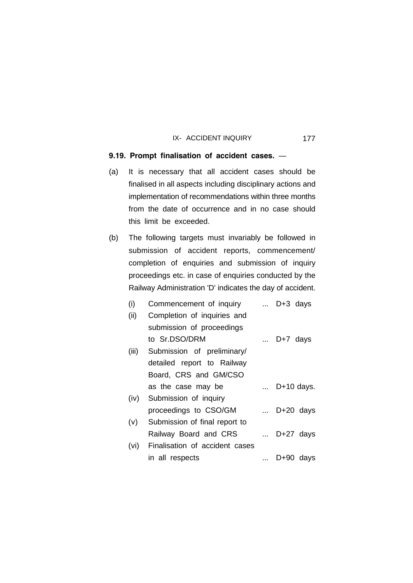# **9.19. Prompt finalisation of accident cases.** —

- (a) It is necessary that all accident cases should be finalised in all aspects including disciplinary actions and implementation of recommendations within three months from the date of occurrence and in no case should this limit be exceeded.
- (b) The following targets must invariably be followed in submission of accident reports, commencement/ completion of enquiries and submission of inquiry proceedings etc. in case of enquiries conducted by the Railway Administration 'D' indicates the day of accident.

| (i)   | Commencement of inquiry  D+3 days   |                     |
|-------|-------------------------------------|---------------------|
| (ii)  | Completion of inquiries and         |                     |
|       | submission of proceedings           |                     |
|       | to Sr.DSO/DRM                       | $\ldots$ D+7 days   |
| (iii) | Submission of preliminary/          |                     |
|       | detailed report to Railway          |                     |
|       | Board, CRS and GM/CSO               |                     |
|       | as the case may be                  | $\ldots$ D+10 days. |
|       | (iv) Submission of inquiry          |                     |
|       | proceedings to CSO/GM               | $\ldots$ D+20 days  |
| (v)   | Submission of final report to       |                     |
|       | Railway Board and CRS               | $\ldots$ D+27 days  |
|       | (vi) Finalisation of accident cases |                     |
|       | in all respects                     | $D+90$ days         |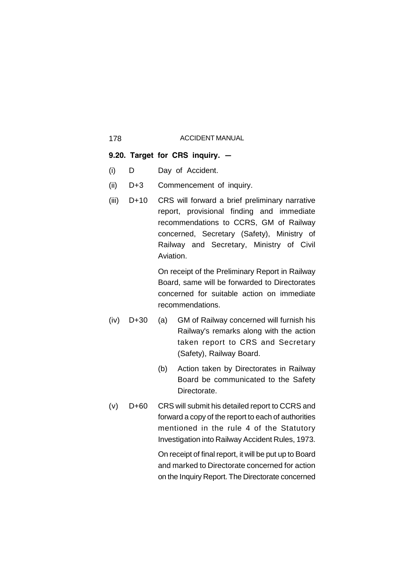# **9.20. Target for CRS inquiry. —**

- (i) D Day of Accident.
- (ii) D+3 Commencement of inquiry.
- (iii) D+10 CRS will forward a brief preliminary narrative report, provisional finding and immediate recommendations to CCRS, GM of Railway concerned, Secretary (Safety), Ministry of Railway and Secretary, Ministry of Civil Aviation.

On receipt of the Preliminary Report in Railway Board, same will be forwarded to Directorates concerned for suitable action on immediate recommendations.

- (iv) D+30 (a) GM of Railway concerned will furnish his Railway's remarks along with the action taken report to CRS and Secretary (Safety), Railway Board.
	- (b) Action taken by Directorates in Railway Board be communicated to the Safety Directorate.
- (v) D+60 CRS will submit his detailed report to CCRS and forward a copy of the report to each of authorities mentioned in the rule 4 of the Statutory Investigation into Railway Accident Rules, 1973.

On receipt of final report, it will be put up to Board and marked to Directorate concerned for action on the Inquiry Report. The Directorate concerned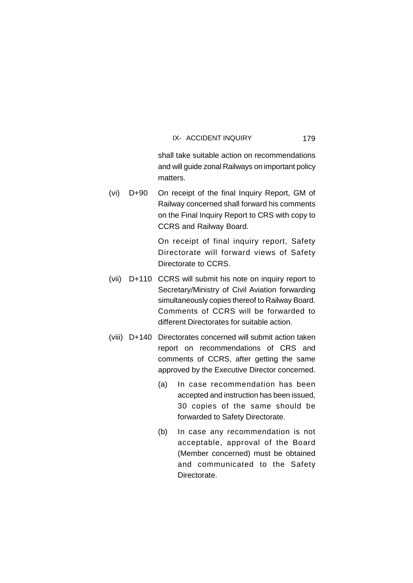shall take suitable action on recommendations and will guide zonal Railways on important policy matters.

(vi) D+90 On receipt of the final Inquiry Report, GM of Railway concerned shall forward his comments on the Final Inquiry Report to CRS with copy to CCRS and Railway Board.

> On receipt of final inquiry report, Safety Directorate will forward views of Safety Directorate to CCRS.

- (vii) D+110 CCRS will submit his note on inquiry report to Secretary/Ministry of Civil Aviation forwarding simultaneously copies thereof to Railway Board. Comments of CCRS will be forwarded to different Directorates for suitable action.
- (viii) D+140 Directorates concerned will submit action taken report on recommendations of CRS and comments of CCRS, after getting the same approved by the Executive Director concerned.
	- (a) In case recommendation has been accepted and instruction has been issued, 30 copies of the same should be forwarded to Safety Directorate.
	- (b) In case any recommendation is not acceptable, approval of the Board (Member concerned) must be obtained and communicated to the Safety Directorate.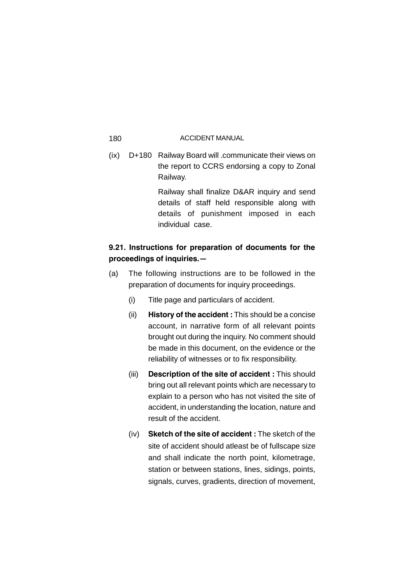(ix) D+180 Railway Board will .communicate their views on the report to CCRS endorsing a copy to Zonal Railway.

> Railway shall finalize D&AR inquiry and send details of staff held responsible along with details of punishment imposed in each individual case.

# **9.21. Instructions for preparation of documents for the proceedings of inquiries.—**

- (a) The following instructions are to be followed in the preparation of documents for inquiry proceedings.
	- (i) Title page and particulars of accident.
	- (ii) **History of the accident :** This should be a concise account, in narrative form of all relevant points brought out during the inquiry. No comment should be made in this document, on the evidence or the reliability of witnesses or to fix responsibility.
	- (iii) **Description of the site of accident :** This should bring out all relevant points which are necessary to explain to a person who has not visited the site of accident, in understanding the location, nature and result of the accident.
	- (iv) **Sketch of the site of accident :** The sketch of the site of accident should atleast be of fullscape size and shall indicate the north point, kilometrage, station or between stations, lines, sidings, points, signals, curves, gradients, direction of movement,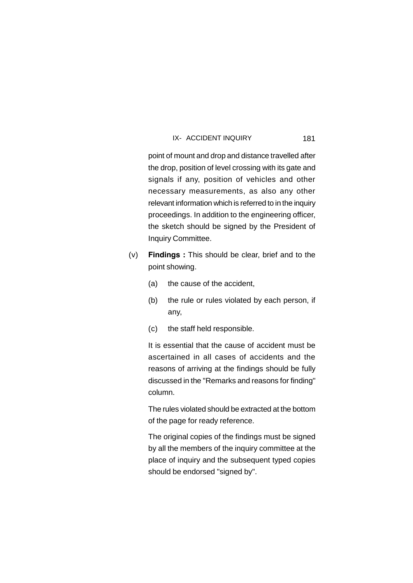181

point of mount and drop and distance travelled after the drop, position of level crossing with its gate and signals if any, position of vehicles and other necessary measurements, as also any other relevant information which is referred to in the inquiry proceedings. In addition to the engineering officer, the sketch should be signed by the President of Inquiry Committee.

- (v) **Findings :** This should be clear, brief and to the point showing.
	- (a) the cause of the accident,
	- (b) the rule or rules violated by each person, if any,
	- (c) the staff held responsible.

It is essential that the cause of accident must be ascertained in all cases of accidents and the reasons of arriving at the findings should be fully discussed in the "Remarks and reasons for finding" column.

The rules violated should be extracted at the bottom of the page for ready reference.

The original copies of the findings must be signed by all the members of the inquiry committee at the place of inquiry and the subsequent typed copies should be endorsed "signed by".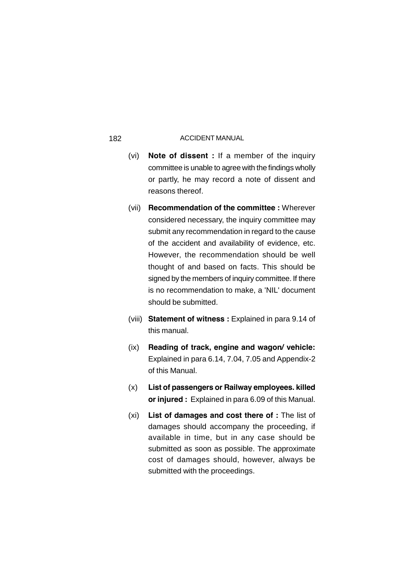- (vi) **Note of dissent :** If a member of the inquiry committee is unable to agree with the findings wholly or partly, he may record a note of dissent and reasons thereof.
- (vii) **Recommendation of the committee :** Wherever considered necessary, the inquiry committee may submit any recommendation in regard to the cause of the accident and availability of evidence, etc. However, the recommendation should be well thought of and based on facts. This should be signed by the members of inquiry committee. If there is no recommendation to make, a 'NIL' document should be submitted.
- (viii) **Statement of witness :** Explained in para 9.14 of this manual.
- (ix) **Reading of track, engine and wagon/ vehicle:** Explained in para 6.14, 7.04, 7.05 and Appendix-2 of this Manual.
- (x) **List of passengers or Railway employees. killed or injured :** Explained in para 6.09 of this Manual.
- (xi) **List of damages and cost there of :** The list of damages should accompany the proceeding, if available in time, but in any case should be submitted as soon as possible. The approximate cost of damages should, however, always be submitted with the proceedings.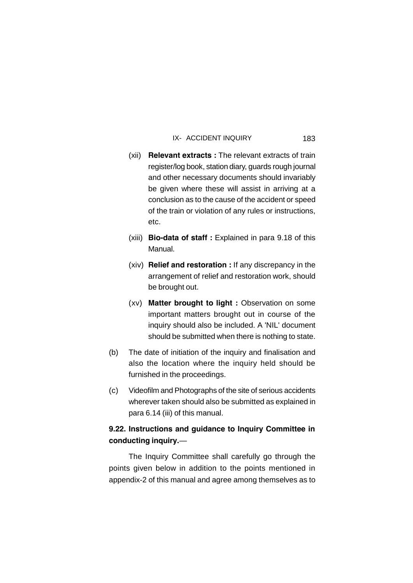- (xii) **Relevant extracts :** The relevant extracts of train register/log book, station diary, guards rough journal and other necessary documents should invariably be given where these will assist in arriving at a conclusion as to the cause of the accident or speed of the train or violation of any rules or instructions, etc.
- (xiii) **Bio-data of staff :** Explained in para 9.18 of this Manual.
- (xiv) **Relief and restoration :** If any discrepancy in the arrangement of relief and restoration work, should be brought out.
- (xv) **Matter brought to light :** Observation on some important matters brought out in course of the inquiry should also be included. A 'NIL' document should be submitted when there is nothing to state.
- (b) The date of initiation of the inquiry and finalisation and also the location where the inquiry held should be furnished in the proceedings.
- (c) Videofilm and Photographs of the site of serious accidents wherever taken should also be submitted as explained in para 6.14 (iii) of this manual.

# **9.22. Instructions and guidance to Inquiry Committee in conducting inquiry.**—

The Inquiry Committee shall carefully go through the points given below in addition to the points mentioned in appendix-2 of this manual and agree among themselves as to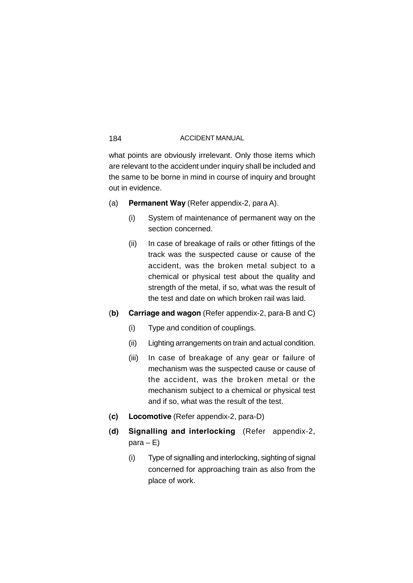what points are obviously irrelevant. Only those items which are relevant to the accident under inquiry shall be included and the same to be borne in mind in course of inquiry and brought out in evidence.

- (a) **Permanent Way** (Refer appendix-2, para A).
	- (i) System of maintenance of permanent way on the section concerned.
	- (ii) In case of breakage of rails or other fittings of the track was the suspected cause or cause of the accident, was the broken metal subject to a chemical or physical test about the quality and strength of the metal, if so, what was the result of the test and date on which broken rail was laid.
- (**b) Carriage and wagon** (Refer appendix-2, para-B and C)
	- (i) Type and condition of couplings.
	- (ii) Lighting arrangements on train and actual condition.
	- (iii) In case of breakage of any gear or failure of mechanism was the suspected cause or cause of the accident, was the broken metal or the mechanism subject to a chemical or physical test and if so, what was the result of the test.
- **(c) Locomotive** (Refer appendix-2, para-D)
- **(d) Signalling and interlocking** (Refer appendix-2,  $para - E)$ 
	- (i) Type of signalling and interlocking, sighting of signal concerned for approaching train as also from the place of work.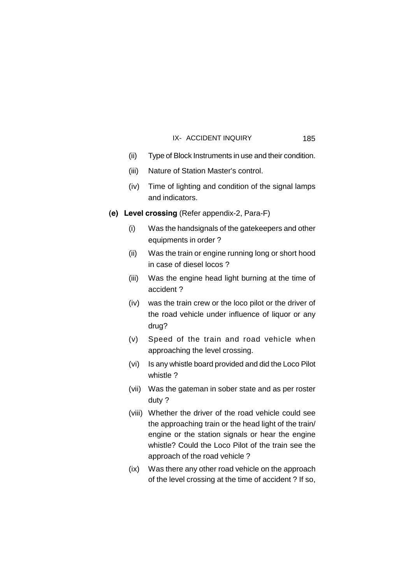(ii) Type of Block Instruments in use and their condition.

- (iii) Nature of Station Master's control.
- (iv) Time of lighting and condition of the signal lamps and indicators.
- **(e) Level crossing** (Refer appendix-2, Para-F)
	- (i) Was the handsignals of the gatekeepers and other equipments in order ?
	- (ii) Was the train or engine running long or short hood in case of diesel locos ?
	- (iii) Was the engine head light burning at the time of accident ?
	- (iv) was the train crew or the loco pilot or the driver of the road vehicle under influence of liquor or any drug?
	- (v) Speed of the train and road vehicle when approaching the level crossing.
	- (vi) Is any whistle board provided and did the Loco Pilot whistle ?
	- (vii) Was the gateman in sober state and as per roster duty ?
	- (viii) Whether the driver of the road vehicle could see the approaching train or the head light of the train/ engine or the station signals or hear the engine whistle? Could the Loco Pilot of the train see the approach of the road vehicle ?
	- (ix) Was there any other road vehicle on the approach of the level crossing at the time of accident ? If so,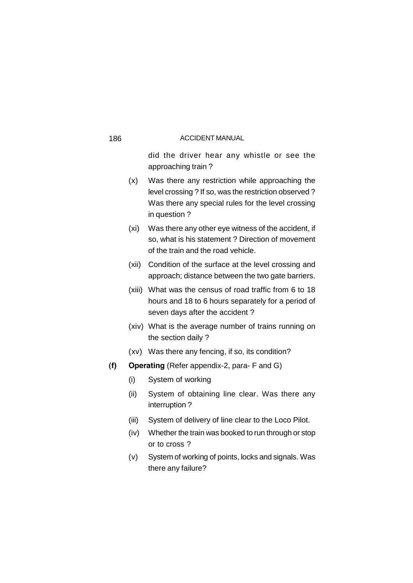did the driver hear any whistle or see the approaching train ?

- (x) Was there any restriction while approaching the level crossing ? If so, was the restriction observed ? Was there any special rules for the level crossing in question ?
- (xi) Was there any other eye witness of the accident, if so, what is his statement ? Direction of movement of the train and the road vehicle.
- (xii) Condition of the surface at the level crossing and approach; distance between the two gate barriers.
- (xiii) What was the census of road traffic from 6 to 18 hours and 18 to 6 hours separately for a period of seven days after the accident ?
- (xiv) What is the average number of trains running on the section daily ?
- (xv) Was there any fencing, if so, its condition?
- **(f) Operating** (Refer appendix-2, para- F and G)
	- (i) System of working
	- (ii) System of obtaining line clear. Was there any interruption ?
	- (iii) System of delivery of line clear to the Loco Pilot.
	- (iv) Whether the train was booked to run through or stop or to cross ?
	- (v) System of working of points, locks and signals. Was there any failure?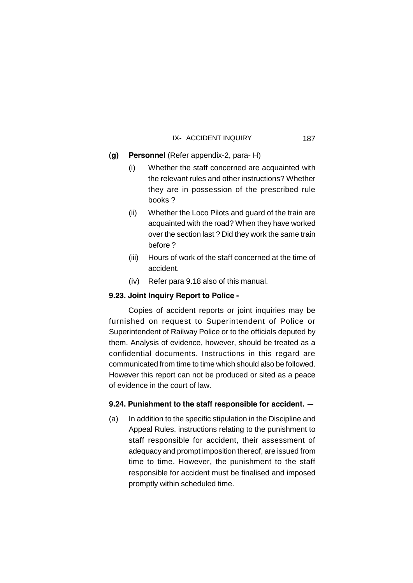# **(g) Personnel** (Refer appendix-2, para- H)

- (i) Whether the staff concerned are acquainted with the relevant rules and other instructions? Whether they are in possession of the prescribed rule books ?
- (ii) Whether the Loco Pilots and guard of the train are acquainted with the road? When they have worked over the section last ? Did they work the same train before ?
- (iii) Hours of work of the staff concerned at the time of accident.
- (iv) Refer para 9.18 also of this manual.

# **9.23. Joint Inquiry Report to Police -**

Copies of accident reports or joint inquiries may be furnished on request to Superintendent of Police or Superintendent of Railway Police or to the officials deputed by them. Analysis of evidence, however, should be treated as a confidential documents. Instructions in this regard are communicated from time to time which should also be followed. However this report can not be produced or sited as a peace of evidence in the court of law.

# **9.24. Punishment to the staff responsible for accident. —**

(a) In addition to the specific stipulation in the Discipline and Appeal Rules, instructions relating to the punishment to staff responsible for accident, their assessment of adequacy and prompt imposition thereof, are issued from time to time. However, the punishment to the staff responsible for accident must be finalised and imposed promptly within scheduled time.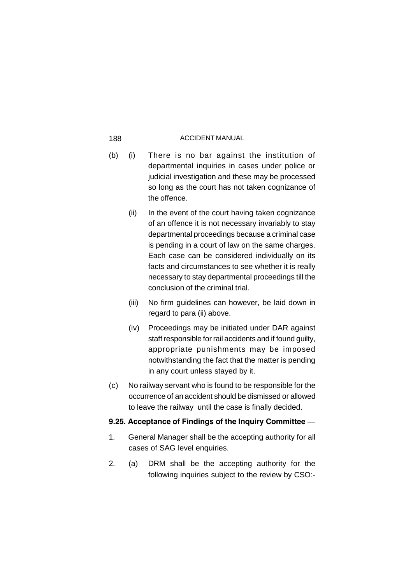- (b) (i) There is no bar against the institution of departmental inquiries in cases under police or judicial investigation and these may be processed so long as the court has not taken cognizance of the offence.
	- (ii) In the event of the court having taken cognizance of an offence it is not necessary invariably to stay departmental proceedings because a criminal case is pending in a court of law on the same charges. Each case can be considered individually on its facts and circumstances to see whether it is really necessary to stay departmental proceedings till the conclusion of the criminal trial.
	- (iii) No firm guidelines can however, be laid down in regard to para (ii) above.
	- (iv) Proceedings may be initiated under DAR against staff responsible for rail accidents and if found guilty, appropriate punishments may be imposed notwithstanding the fact that the matter is pending in any court unless stayed by it.
- (c) No railway servant who is found to be responsible for the occurrence of an accident should be dismissed or allowed to leave the railway until the case is finally decided.

# **9.25. Acceptance of Findings of the Inquiry Committee** —

- 1. General Manager shall be the accepting authority for all cases of SAG level enquiries.
- 2. (a) DRM shall be the accepting authority for the following inquiries subject to the review by CSO:-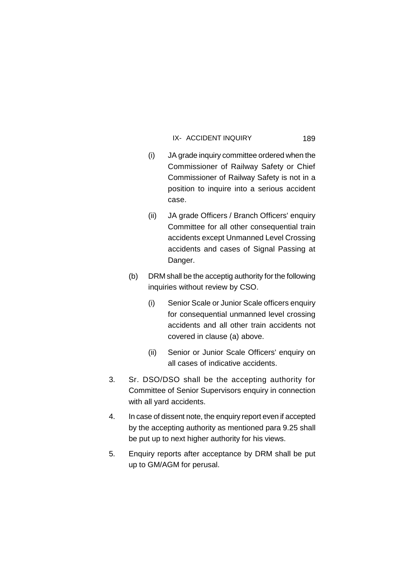- (i) JA grade inquiry committee ordered when the Commissioner of Railway Safety or Chief Commissioner of Railway Safety is not in a position to inquire into a serious accident case.
- (ii) JA grade Officers / Branch Officers' enquiry Committee for all other consequential train accidents except Unmanned Level Crossing accidents and cases of Signal Passing at Danger.
- (b) DRM shall be the acceptig authority for the following inquiries without review by CSO.
	- (i) Senior Scale or Junior Scale officers enquiry for consequential unmanned level crossing accidents and all other train accidents not covered in clause (a) above.
	- (ii) Senior or Junior Scale Officers' enquiry on all cases of indicative accidents.
- 3. Sr. DSO/DSO shall be the accepting authority for Committee of Senior Supervisors enquiry in connection with all yard accidents.
- 4. In case of dissent note, the enquiry report even if accepted by the accepting authority as mentioned para 9.25 shall be put up to next higher authority for his views.
- 5. Enquiry reports after acceptance by DRM shall be put up to GM/AGM for perusal.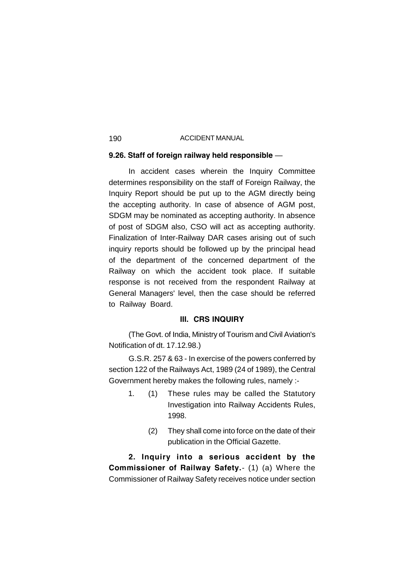### **9.26. Staff of foreign railway held responsible** —

In accident cases wherein the Inquiry Committee determines responsibility on the staff of Foreign Railway, the Inquiry Report should be put up to the AGM directly being the accepting authority. In case of absence of AGM post, SDGM may be nominated as accepting authority. In absence of post of SDGM also, CSO will act as accepting authority. Finalization of Inter-Railway DAR cases arising out of such inquiry reports should be followed up by the principal head of the department of the concerned department of the Railway on which the accident took place. If suitable response is not received from the respondent Railway at General Managers' level, then the case should be referred to Railway Board.

# **III. CRS INQUIRY**

(The Govt. of India, Ministry of Tourism and Civil Aviation's Notification of dt. 17.12.98.)

G.S.R. 257 & 63 - In exercise of the powers conferred by section 122 of the Railways Act, 1989 (24 of 1989), the Central Government hereby makes the following rules, namely :-

- 1. (1) These rules may be called the Statutory Investigation into Railway Accidents Rules, 1998.
	- (2) They shall come into force on the date of their publication in the Official Gazette.

**2. Inquiry into a serious accident by the Commissioner of Railway Safety.**- (1) (a) Where the Commissioner of Railway Safety receives notice under section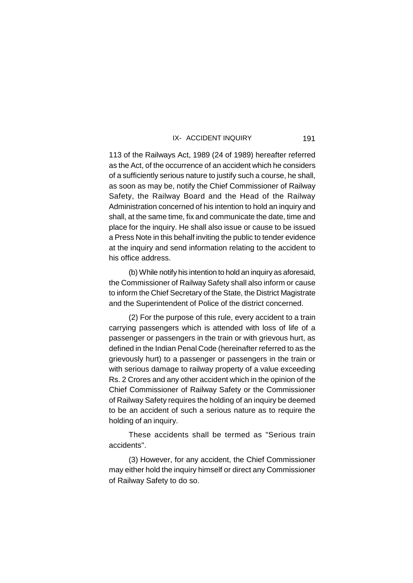113 of the Railways Act, 1989 (24 of 1989) hereafter referred as the Act, of the occurrence of an accident which he considers of a sufficiently serious nature to justify such a course, he shall, as soon as may be, notify the Chief Commissioner of Railway Safety, the Railway Board and the Head of the Railway Administration concerned of his intention to hold an inquiry and shall, at the same time, fix and communicate the date, time and place for the inquiry. He shall also issue or cause to be issued a Press Note in this behalf inviting the public to tender evidence at the inquiry and send information relating to the accident to his office address.

(b) While notify his intention to hold an inquiry as aforesaid, the Commissioner of Railway Safety shall also inform or cause to inform the Chief Secretary of the State, the District Magistrate and the Superintendent of Police of the district concerned.

(2) For the purpose of this rule, every accident to a train carrying passengers which is attended with loss of life of a passenger or passengers in the train or with grievous hurt, as defined in the Indian Penal Code (hereinafter referred to as the grievously hurt) to a passenger or passengers in the train or with serious damage to railway property of a value exceeding Rs. 2 Crores and any other accident which in the opinion of the Chief Commissioner of Railway Safety or the Commissioner of Railway Safety requires the holding of an inquiry be deemed to be an accident of such a serious nature as to require the holding of an inquiry.

These accidents shall be termed as "Serious train accidents".

(3) However, for any accident, the Chief Commissioner may either hold the inquiry himself or direct any Commissioner of Railway Safety to do so.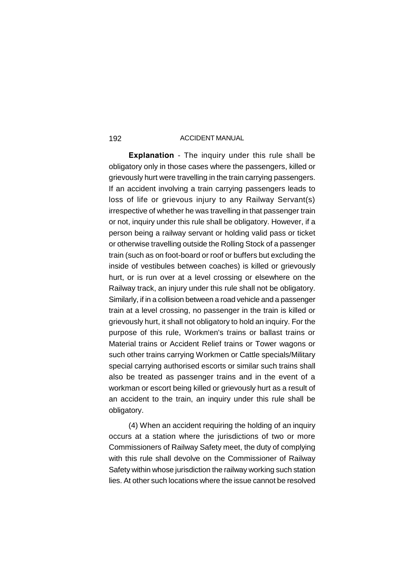**Explanation** - The inquiry under this rule shall be obligatory only in those cases where the passengers, killed or grievously hurt were travelling in the train carrying passengers. If an accident involving a train carrying passengers leads to loss of life or grievous injury to any Railway Servant(s) irrespective of whether he was travelling in that passenger train or not, inquiry under this rule shall be obligatory. However, if a person being a railway servant or holding valid pass or ticket or otherwise travelling outside the Rolling Stock of a passenger train (such as on foot-board or roof or buffers but excluding the inside of vestibules between coaches) is killed or grievously hurt, or is run over at a level crossing or elsewhere on the Railway track, an injury under this rule shall not be obligatory. Similarly, if in a collision between a road vehicle and a passenger train at a level crossing, no passenger in the train is killed or grievously hurt, it shall not obligatory to hold an inquiry. For the purpose of this rule, Workmen's trains or ballast trains or Material trains or Accident Relief trains or Tower wagons or such other trains carrying Workmen or Cattle specials/Military special carrying authorised escorts or similar such trains shall also be treated as passenger trains and in the event of a workman or escort being killed or grievously hurt as a result of an accident to the train, an inquiry under this rule shall be obligatory.

(4) When an accident requiring the holding of an inquiry occurs at a station where the jurisdictions of two or more Commissioners of Railway Safety meet, the duty of complying with this rule shall devolve on the Commissioner of Railway Safety within whose jurisdiction the railway working such station lies. At other such locations where the issue cannot be resolved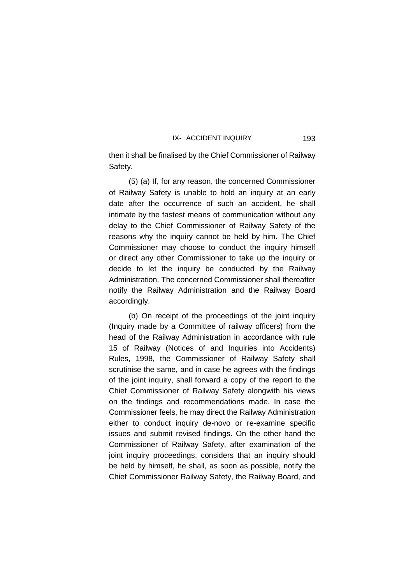then it shall be finalised by the Chief Commissioner of Railway Safety.

(5) (a) If, for any reason, the concerned Commissioner of Railway Safety is unable to hold an inquiry at an early date after the occurrence of such an accident, he shall intimate by the fastest means of communication without any delay to the Chief Commissioner of Railway Safety of the reasons why the inquiry cannot be held by him. The Chief Commissioner may choose to conduct the inquiry himself or direct any other Commissioner to take up the inquiry or decide to let the inquiry be conducted by the Railway Administration. The concerned Commissioner shall thereafter notify the Railway Administration and the Railway Board accordingly.

(b) On receipt of the proceedings of the joint inquiry (Inquiry made by a Committee of railway officers) from the head of the Railway Administration in accordance with rule 15 of Railway (Notices of and Inquiries into Accidents) Rules, 1998, the Commissioner of Railway Safety shall scrutinise the same, and in case he agrees with the findings of the joint inquiry, shall forward a copy of the report to the Chief Commissioner of Railway Safety alongwith his views on the findings and recommendations made. In case the Commissioner feels, he may direct the Railway Administration either to conduct inquiry de-novo or re-examine specific issues and submit revised findings. On the other hand the Commissioner of Railway Safety, after examination of the joint inquiry proceedings, considers that an inquiry should be held by himself, he shall, as soon as possible, notify the Chief Commissioner Railway Safety, the Railway Board, and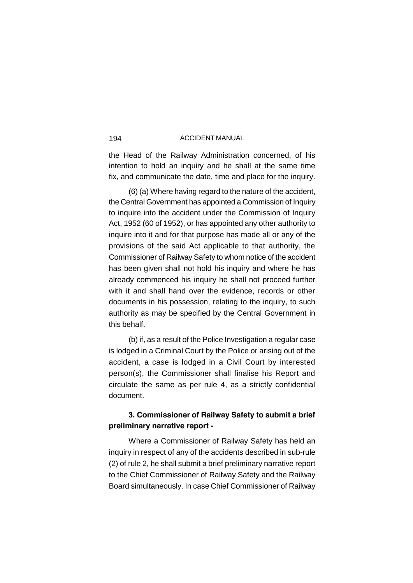the Head of the Railway Administration concerned, of his intention to hold an inquiry and he shall at the same time fix, and communicate the date, time and place for the inquiry.

(6) (a) Where having regard to the nature of the accident, the Central Government has appointed a Commission of Inquiry to inquire into the accident under the Commission of Inquiry Act, 1952 (60 of 1952), or has appointed any other authority to inquire into it and for that purpose has made all or any of the provisions of the said Act applicable to that authority, the Commissioner of Railway Safety to whom notice of the accident has been given shall not hold his inquiry and where he has already commenced his inquiry he shall not proceed further with it and shall hand over the evidence, records or other documents in his possession, relating to the inquiry, to such authority as may be specified by the Central Government in this behalf.

(b) if, as a result of the Police Investigation a regular case is lodged in a Criminal Court by the Police or arising out of the accident, a case is lodged in a Civil Court by interested person(s), the Commissioner shall finalise his Report and circulate the same as per rule 4, as a strictly confidential document.

# **3. Commissioner of Railway Safety to submit a brief preliminary narrative report -**

Where a Commissioner of Railway Safety has held an inquiry in respect of any of the accidents described in sub-rule (2) of rule 2, he shall submit a brief preliminary narrative report to the Chief Commissioner of Railway Safety and the Railway Board simultaneously. In case Chief Commissioner of Railway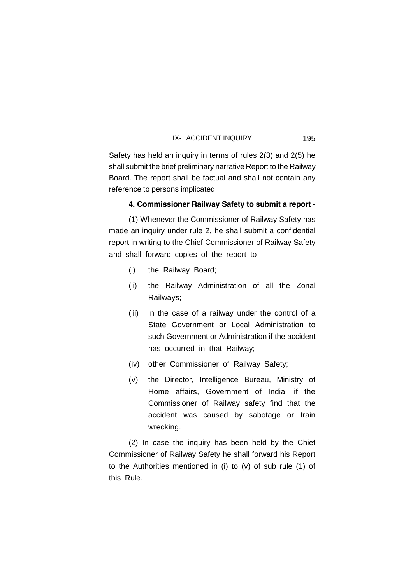Safety has held an inquiry in terms of rules 2(3) and 2(5) he shall submit the brief preliminary narrative Report to the Railway Board. The report shall be factual and shall not contain any reference to persons implicated.

# **4. Commissioner Railway Safety to submit a report -**

(1) Whenever the Commissioner of Railway Safety has made an inquiry under rule 2, he shall submit a confidential report in writing to the Chief Commissioner of Railway Safety and shall forward copies of the report to -

- (i) the Railway Board;
- (ii) the Railway Administration of all the Zonal Railways;
- (iii) in the case of a railway under the control of a State Government or Local Administration to such Government or Administration if the accident has occurred in that Railway;
- (iv) other Commissioner of Railway Safety;
- (v) the Director, Intelligence Bureau, Ministry of Home affairs, Government of India, if the Commissioner of Railway safety find that the accident was caused by sabotage or train wrecking.

(2) In case the inquiry has been held by the Chief Commissioner of Railway Safety he shall forward his Report to the Authorities mentioned in (i) to (v) of sub rule (1) of this Rule.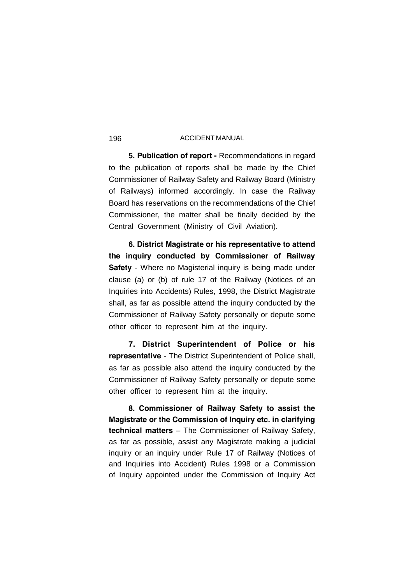**5. Publication of report -** Recommendations in regard to the publication of reports shall be made by the Chief Commissioner of Railway Safety and Railway Board (Ministry of Railways) informed accordingly. In case the Railway Board has reservations on the recommendations of the Chief Commissioner, the matter shall be finally decided by the Central Government (Ministry of Civil Aviation).

**6. District Magistrate or his representative to attend the inquiry conducted by Commissioner of Railway Safety** - Where no Magisterial inquiry is being made under clause (a) or (b) of rule 17 of the Railway (Notices of an Inquiries into Accidents) Rules, 1998, the District Magistrate shall, as far as possible attend the inquiry conducted by the Commissioner of Railway Safety personally or depute some other officer to represent him at the inquiry.

**7. District Superintendent of Police or his representative** - The District Superintendent of Police shall, as far as possible also attend the inquiry conducted by the Commissioner of Railway Safety personally or depute some other officer to represent him at the inquiry.

**8. Commissioner of Railway Safety to assist the Magistrate or the Commission of Inquiry etc. in clarifying technical matters** – The Commissioner of Railway Safety, as far as possible, assist any Magistrate making a judicial inquiry or an inquiry under Rule 17 of Railway (Notices of and Inquiries into Accident) Rules 1998 or a Commission of Inquiry appointed under the Commission of Inquiry Act